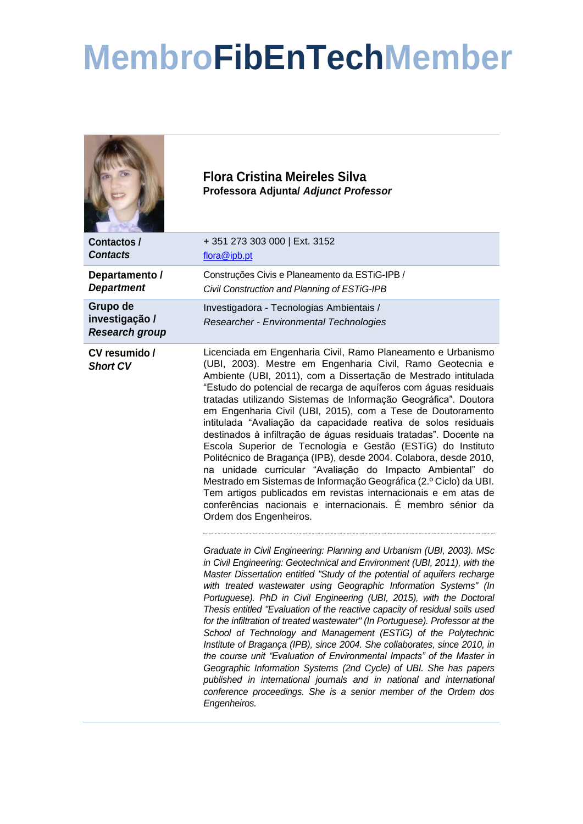## **MembroFibEnTechMember**

|                                                     | <b>Flora Cristina Meireles Silva</b><br>Professora Adjuntal Adjunct Professor                                                                                                                                                                                                                                                                                                                                                                                                                                                                                                                                                                                                                                                                                                                                                                                                                                                                                                                         |
|-----------------------------------------------------|-------------------------------------------------------------------------------------------------------------------------------------------------------------------------------------------------------------------------------------------------------------------------------------------------------------------------------------------------------------------------------------------------------------------------------------------------------------------------------------------------------------------------------------------------------------------------------------------------------------------------------------------------------------------------------------------------------------------------------------------------------------------------------------------------------------------------------------------------------------------------------------------------------------------------------------------------------------------------------------------------------|
| <b>Contactos /</b><br><b>Contacts</b>               | +351 273 303 000   Ext. 3152<br>flora@ipb.pt                                                                                                                                                                                                                                                                                                                                                                                                                                                                                                                                                                                                                                                                                                                                                                                                                                                                                                                                                          |
| Departamento /<br><b>Department</b>                 | Construções Civis e Planeamento da ESTiG-IPB /<br>Civil Construction and Planning of ESTiG-IPB                                                                                                                                                                                                                                                                                                                                                                                                                                                                                                                                                                                                                                                                                                                                                                                                                                                                                                        |
| Grupo de<br>investigação /<br><b>Research group</b> | Investigadora - Tecnologias Ambientais /<br>Researcher - Environmental Technologies                                                                                                                                                                                                                                                                                                                                                                                                                                                                                                                                                                                                                                                                                                                                                                                                                                                                                                                   |
| CV resumido /<br><b>Short CV</b>                    | Licenciada em Engenharia Civil, Ramo Planeamento e Urbanismo<br>(UBI, 2003). Mestre em Engenharia Civil, Ramo Geotecnia e<br>Ambiente (UBI, 2011), com a Dissertação de Mestrado intitulada<br>"Estudo do potencial de recarga de aquíferos com águas residuais<br>tratadas utilizando Sistemas de Informação Geográfica". Doutora<br>em Engenharia Civil (UBI, 2015), com a Tese de Doutoramento<br>intitulada "Avaliação da capacidade reativa de solos residuais<br>destinados à infiltração de águas residuais tratadas". Docente na<br>Escola Superior de Tecnologia e Gestão (ESTiG) do Instituto<br>Politécnico de Bragança (IPB), desde 2004. Colabora, desde 2010,<br>na unidade curricular "Avaliação do Impacto Ambiental" do<br>Mestrado em Sistemas de Informação Geográfica (2.º Ciclo) da UBI.<br>Tem artigos publicados em revistas internacionais e em atas de<br>conferências nacionais e internacionais. É membro sénior da<br>Ordem dos Engenheiros.                              |
|                                                     | Graduate in Civil Engineering: Planning and Urbanism (UBI, 2003). MSc<br>in Civil Engineering: Geotechnical and Environment (UBI, 2011), with the<br>Master Dissertation entitled "Study of the potential of aquifers recharge<br>with treated wastewater using Geographic Information Systems" (In<br>Portuguese). PhD in Civil Engineering (UBI, 2015), with the Doctoral<br>Thesis entitled "Evaluation of the reactive capacity of residual soils used<br>for the infiltration of treated wastewater" (In Portuguese). Professor at the<br>School of Technology and Management (ESTiG) of the Polytechnic<br>Institute of Bragança (IPB), since 2004. She collaborates, since 2010, in<br>the course unit "Evaluation of Environmental Impacts" of the Master in<br>Geographic Information Systems (2nd Cycle) of UBI. She has papers<br>published in international journals and in national and international<br>conference proceedings. She is a senior member of the Ordem dos<br>Engenheiros. |